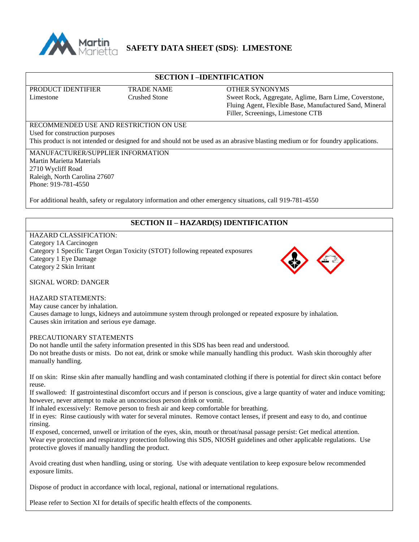

# **SAFETY DATA SHEET (SDS)**: **LIMESTONE**

### **SECTION I –IDENTIFICATION**

PRODUCT IDENTIFIER TRADE NAME OTHER SYNONYMS

Limestone Crushed Stone Sweet Rock, Aggregate, Aglime, Barn Lime, Coverstone, Fluing Agent, Flexible Base, Manufactured Sand, Mineral Filler, Screenings, Limestone CTB

# RECOMMENDED USE AND RESTRICTION ON USE Used for construction purposes

This product is not intended or designed for and should not be used as an abrasive blasting medium or for foundry applications.

MANUFACTURER/SUPPLIER INFORMATION Martin Marietta Materials 2710 Wycliff Road Raleigh, North Carolina 27607 Phone: 919-781-4550

For additional health, safety or regulatory information and other emergency situations, call 919-781-4550

# **SECTION II – HAZARD(S) IDENTIFICATION**

#### HAZARD CLASSIFICATION: Category 1A Carcinogen Category 1 Specific Target Organ Toxicity (STOT) following repeated exposures Category 1 Eye Damage Category 2 Skin Irritant



SIGNAL WORD: DANGER

### HAZARD STATEMENTS:

May cause cancer by inhalation. Causes damage to lungs, kidneys and autoimmune system through prolonged or repeated exposure by inhalation. Causes skin irritation and serious eye damage.

### PRECAUTIONARY STATEMENTS

Do not handle until the safety information presented in this SDS has been read and understood.

Do not breathe dusts or mists. Do not eat, drink or smoke while manually handling this product. Wash skin thoroughly after manually handling.

If on skin: Rinse skin after manually handling and wash contaminated clothing if there is potential for direct skin contact before reuse.

If swallowed: If gastrointestinal discomfort occurs and if person is conscious, give a large quantity of water and induce vomiting; however, never attempt to make an unconscious person drink or vomit.

If inhaled excessively: Remove person to fresh air and keep comfortable for breathing.

If in eyes: Rinse cautiously with water for several minutes. Remove contact lenses, if present and easy to do, and continue rinsing.

If exposed, concerned, unwell or irritation of the eyes, skin, mouth or throat/nasal passage persist: Get medical attention. Wear eye protection and respiratory protection following this SDS, NIOSH guidelines and other applicable regulations. Use protective gloves if manually handling the product.

Avoid creating dust when handling, using or storing. Use with adequate ventilation to keep exposure below recommended exposure limits.

Dispose of product in accordance with local, regional, national or international regulations.

Please refer to Section XI for details of specific health effects of the components.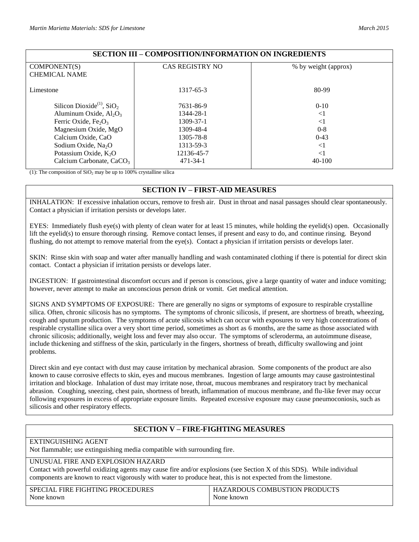| ooma obliloiman olumillion on andreptin lo        |                        |                      |  |  |
|---------------------------------------------------|------------------------|----------------------|--|--|
| COMPONENT(S)                                      | <b>CAS REGISTRY NO</b> | % by weight (approx) |  |  |
| <b>CHEMICAL NAME</b>                              |                        |                      |  |  |
| Limestone                                         | 1317-65-3              | 80-99                |  |  |
| Silicon Dioxide <sup>(1)</sup> , SiO <sub>2</sub> | 7631-86-9              | $0 - 10$             |  |  |
| Aluminum Oxide, $Al_2O_3$                         | 1344-28-1              | $\leq$ 1             |  |  |
| Ferric Oxide, $Fe2O3$                             | 1309-37-1              | $\leq$ 1             |  |  |
| Magnesium Oxide, MgO                              | 1309-48-4              | $0 - 8$              |  |  |
| Calcium Oxide, CaO                                | 1305-78-8              | $0 - 43$             |  |  |
| Sodium Oxide, Na <sub>2</sub> O                   | 1313-59-3              | $<$ 1                |  |  |
| Potassium Oxide, $K_2O$                           | 12136-45-7             | $<$ 1                |  |  |
| Calcium Carbonate, $CaCO3$                        | $471 - 34 - 1$         | $40-100$             |  |  |

# **SECTION III – COMPOSITION/INFORMATION ON INGREDIENTS**

(1): The composition of  $SiO<sub>2</sub>$  may be up to 100% crystalline silica

## **SECTION IV – FIRST-AID MEASURES**

INHALATION: If excessive inhalation occurs, remove to fresh air. Dust in throat and nasal passages should clear spontaneously. Contact a physician if irritation persists or develops later.

EYES: Immediately flush eye(s) with plenty of clean water for at least 15 minutes, while holding the eyelid(s) open. Occasionally lift the eyelid(s) to ensure thorough rinsing. Remove contact lenses, if present and easy to do, and continue rinsing. Beyond flushing, do not attempt to remove material from the eye(s). Contact a physician if irritation persists or develops later.

SKIN: Rinse skin with soap and water after manually handling and wash contaminated clothing if there is potential for direct skin contact. Contact a physician if irritation persists or develops later.

INGESTION: If gastrointestinal discomfort occurs and if person is conscious, give a large quantity of water and induce vomiting; however, never attempt to make an unconscious person drink or vomit. Get medical attention.

SIGNS AND SYMPTOMS OF EXPOSURE: There are generally no signs or symptoms of exposure to respirable crystalline silica. Often, chronic silicosis has no symptoms. The symptoms of chronic silicosis, if present, are shortness of breath, wheezing, cough and sputum production. The symptoms of acute silicosis which can occur with exposures to very high concentrations of respirable crystalline silica over a very short time period, sometimes as short as 6 months, are the same as those associated with chronic silicosis; additionally, weight loss and fever may also occur. The symptoms of scleroderma, an autoimmune disease, include thickening and stiffness of the skin, particularly in the fingers, shortness of breath, difficulty swallowing and joint problems.

Direct skin and eye contact with dust may cause irritation by mechanical abrasion. Some components of the product are also known to cause corrosive effects to skin, eyes and mucous membranes. Ingestion of large amounts may cause gastrointestinal irritation and blockage. Inhalation of dust may irritate nose, throat, mucous membranes and respiratory tract by mechanical abrasion. Coughing, sneezing, chest pain, shortness of breath, inflammation of mucous membrane, and flu-like fever may occur following exposures in excess of appropriate exposure limits. Repeated excessive exposure may cause pneumoconiosis, such as silicosis and other respiratory effects.

# **SECTION V – FIRE-FIGHTING MEASURES**

## EXTINGUISHING AGENT

Not flammable; use extinguishing media compatible with surrounding fire.

### UNUSUAL FIRE AND EXPLOSION HAZARD

Contact with powerful oxidizing agents may cause fire and/or explosions (see Section X of this SDS). While individual components are known to react vigorously with water to produce heat, this is not expected from the limestone.

| SPECIAL FIRE FIGHTING PROCEDURES | HAZARDOUS COMBUSTION PRODUCTS |
|----------------------------------|-------------------------------|
| None known                       | None known                    |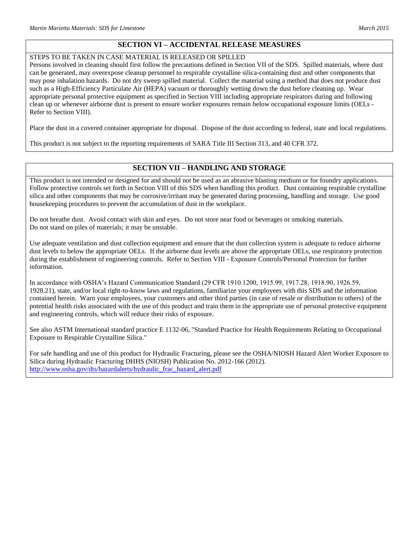# **SECTION VI – ACCIDENTAL RELEASE MEASURES**

### STEPS TO BE TAKEN IN CASE MATERIAL IS RELEASED OR SPILLED

Persons involved in cleaning should first follow the precautions defined in Section VII of the SDS. Spilled materials, where dust can be generated, may overexpose cleanup personnel to respirable crystalline silica-containing dust and other components that may pose inhalation hazards. Do not dry sweep spilled material. Collect the material using a method that does not produce dust such as a High-Efficiency Particulate Air (HEPA) vacuum or thoroughly wetting down the dust before cleaning up. Wear appropriate personal protective equipment as specified in Section VIII including appropriate respirators during and following clean up or whenever airborne dust is present to ensure worker exposures remain below occupational exposure limits (OELs - Refer to Section VIII).

Place the dust in a covered container appropriate for disposal. Dispose of the dust according to federal, state and local regulations.

This product is not subject to the reporting requirements of SARA Title III Section 313, and 40 CFR 372.

# **SECTION VII – HANDLING AND STORAGE**

This product is not intended or designed for and should not be used as an abrasive blasting medium or for foundry applications. Follow protective controls set forth in Section VIII of this SDS when handling this product. Dust containing respirable crystalline silica and other components that may be corrosive/irritant may be generated during processing, handling and storage. Use good housekeeping procedures to prevent the accumulation of dust in the workplace.

Do not breathe dust. Avoid contact with skin and eyes. Do not store near food or beverages or smoking materials. Do not stand on piles of materials; it may be unstable.

Use adequate ventilation and dust collection equipment and ensure that the dust collection system is adequate to reduce airborne dust levels to below the appropriate OELs. If the airborne dust levels are above the appropriate OELs, use respiratory protection during the establishment of engineering controls. Refer to Section VIII - Exposure Controls/Personal Protection for further information.

In accordance with OSHA's Hazard Communication Standard (29 CFR 1910.1200, 1915.99, 1917.28, 1918.90, 1926.59, 1928.21), state, and/or local right-to-know laws and regulations, familiarize your employees with this SDS and the information contained herein. Warn your employees, your customers and other third parties (in case of resale or distribution to others) of the potential health risks associated with the use of this product and train them in the appropriate use of personal protective equipment and engineering controls, which will reduce their risks of exposure.

See also ASTM International standard practice E 1132-06, "Standard Practice for Health Requirements Relating to Occupational Exposure to Respirable Crystalline Silica."

For safe handling and use of this product for Hydraulic Fracturing, please see the OSHA/NIOSH Hazard Alert Worker Exposure to Silica during Hydraulic Fracturing DHHS (NIOSH) Publication No. 2012-166 (2012). [http://www.osha.gov/dts/hazardalerts/hydraulic\\_frac\\_hazard\\_alert.pdf](http://www.osha.gov/dts/hazardalerts/hydraulic_frac_hazard_alert.pdf)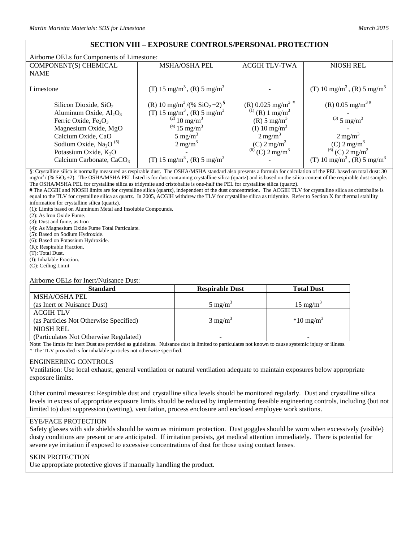## **SECTION VIII – EXPOSURE CONTROLS/PERSONAL PROTECTION**

| Airborne OELs for Components of Limestone: |                                                                |                                  |                                                      |
|--------------------------------------------|----------------------------------------------------------------|----------------------------------|------------------------------------------------------|
| COMPONENT(S) CHEMICAL                      | <b>MSHA/OSHA PEL</b>                                           | <b>ACGIH TLV-TWA</b>             | <b>NIOSH REL</b>                                     |
| <b>NAME</b>                                |                                                                |                                  |                                                      |
| Limestone                                  | (T) 15 mg/m <sup>3</sup> , (R) 5 mg/m <sup>3</sup>             |                                  | (T) 10 mg/m <sup>3</sup> , (R) 5 mg/m <sup>3</sup>   |
| Silicon Dioxide, $SiO2$                    | (R) 10 mg/m <sup>3</sup> /(% SiO <sub>2</sub> +2) <sup>§</sup> | (R) 0.025 mg/m <sup>3 #</sup>    | (R) 0.05 mg/m <sup>3#</sup>                          |
| Aluminum Oxide, $Al_2O_3$                  | (T) 15 mg/m <sup>3</sup> , (R) 5 mg/m <sup>3</sup>             | $^{(1)}$ (R) 1 mg/m <sup>3</sup> |                                                      |
| Ferric Oxide, $Fe2O3$                      | $^{(2)}$ 10 mg/m <sup>3</sup>                                  | $(R)$ 5 mg/m <sup>3</sup>        | $^{(3)}$ 5 mg/m <sup>3</sup>                         |
| Magnesium Oxide, MgO                       | $^{(4)}$ 15 mg/m <sup>3</sup>                                  | (I) 10 mg/m <sup>3</sup>         |                                                      |
| Calcium Oxide, CaO                         | 5 mg/m <sup>3</sup>                                            | $2 \text{ mg/m}^3$               | $2 \text{ mg/m}^3$                                   |
| Sodium Oxide, $Na2O(5)$                    | $2 \text{ mg/m}^3$                                             | $(C)$ 2 mg/m <sup>3</sup>        |                                                      |
| Potassium Oxide, $K_2O$                    |                                                                | $^{(6)}$ (C) 2 mg/m <sup>3</sup> | (C) $2 \text{ mg/m}^3$<br>(6) (C) $2 \text{ mg/m}^3$ |
| Calcium Carbonate, CaCO <sub>3</sub>       | (T) 15 mg/m <sup>3</sup> , (R) 5 mg/m <sup>3</sup>             |                                  | (T) 10 mg/m <sup>3</sup> , (R) 5 mg/m <sup>3</sup>   |

§: Crystalline silica is normally measured as respirable dust. The OSHA/MSHA standard also presents a formula for calculation of the PEL based on total dust: 30  $mg/m<sup>3</sup>$  (% SiO<sub>2</sub>+2). The OSHA/MSHA PEL listed is for dust containing crystalline silica (quartz) and is based on the silica content of the respirable dust sample. The OSHA/MSHA PEL for crystalline silica as tridymite and cristobalite is one-half the PEL for crystalline silica (quartz).

**#** The ACGIH and NIOSH limits are for crystalline silica (quartz), independent of the dust concentration. The ACGIH TLV for crystalline silica as cristobalite is equal to the TLV for crystalline silica as quartz. In 2005, ACGIH withdrew the TLV for crystalline silica as tridymite. Refer to Section X for thermal stability information for crystalline silica (quartz).

(1): Limits based on Aluminum Metal and Insoluble Compounds.

(2): As Iron Oxide Fume.

(3): Dust and fume, as Iron

(4): As Magnesium Oxide Fume Total Particulate.

(5): Based on Sodium Hydroxide.

(6): Based on Potassium Hydroxide.

(R): Respirable Fraction.

(T): Total Dust.

(I): Inhalable Fraction.

(C): Ceiling Limit

Airborne OELs for Inert/Nuisance Dust:

| <b>Standard</b>                        | <b>Respirable Dust</b> | <b>Total Dust</b>    |
|----------------------------------------|------------------------|----------------------|
| <b>MSHA/OSHA PEL</b>                   |                        |                      |
| (as Inert or Nuisance Dust)            | $5 \text{ mg/m}^3$     | $15 \text{ mg/m}^3$  |
| <b>ACGIH TLV</b>                       |                        |                      |
| (as Particles Not Otherwise Specified) | $3 \text{ mg/m}^3$     | $*10 \text{ mg/m}^3$ |
| <b>NIOSH REL</b>                       |                        |                      |
| (Particulates Not Otherwise Regulated) |                        |                      |

Note: The limits for Inert Dust are provided as guidelines. Nuisance dust is limited to particulates not known to cause systemic injury or illness. \* The TLV provided is for inhalable particles not otherwise specified.

#### ENGINEERING CONTROLS

Ventilation: Use local exhaust, general ventilation or natural ventilation adequate to maintain exposures below appropriate exposure limits.

Other control measures: Respirable dust and crystalline silica levels should be monitored regularly. Dust and crystalline silica levels in excess of appropriate exposure limits should be reduced by implementing feasible engineering controls, including (but not limited to) dust suppression (wetting), ventilation, process enclosure and enclosed employee work stations.

### EYE/FACE PROTECTION

Safety glasses with side shields should be worn as minimum protection. Dust goggles should be worn when excessively (visible) dusty conditions are present or are anticipated. If irritation persists, get medical attention immediately. There is potential for severe eye irritation if exposed to excessive concentrations of dust for those using contact lenses.

#### SKIN PROTECTION

Use appropriate protective gloves if manually handling the product.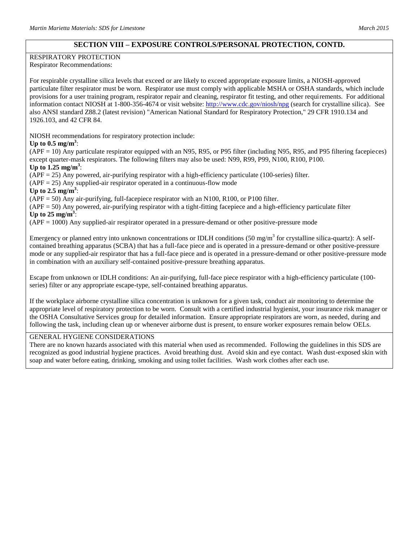### **SECTION VIII – EXPOSURE CONTROLS/PERSONAL PROTECTION, CONTD.**

### RESPIRATORY PROTECTION

Respirator Recommendations:

For respirable crystalline silica levels that exceed or are likely to exceed appropriate exposure limits, a NIOSH-approved particulate filter respirator must be worn. Respirator use must comply with applicable MSHA or OSHA standards, which include provisions for a user training program, respirator repair and cleaning, respirator fit testing, and other requirements. For additional information contact NIOSH at 1-800-356-4674 or visit website:<http://www.cdc.gov/niosh/npg> (search for crystalline silica). See also ANSI standard Z88.2 (latest revision) "American National Standard for Respiratory Protection," 29 CFR 1910.134 and 1926.103, and 42 CFR 84.

NIOSH recommendations for respiratory protection include:

### Up to  $0.5$  mg/m<sup>3</sup>:

(APF = 10) Any particulate respirator equipped with an N95, R95, or P95 filter (including N95, R95, and P95 filtering facepieces) except quarter-mask respirators. The following filters may also be used: N99, R99, P99, N100, R100, P100.

Up to  $1.25 \text{ mg/m}^3$ :

(APF = 25) Any powered, air-purifying respirator with a high-efficiency particulate (100-series) filter.

 $(APF = 25)$  Any supplied-air respirator operated in a continuous-flow mode

Up to  $2.5 \text{ mg/m}^3$ :

(APF = 50) Any air-purifying, full-facepiece respirator with an N100, R100, or P100 filter.

(APF = 50) Any powered, air-purifying respirator with a tight-fitting facepiece and a high-efficiency particulate filter Up to  $25 \text{ mg/m}^3$ :

(APF = 1000) Any supplied-air respirator operated in a pressure-demand or other positive-pressure mode

Emergency or planned entry into unknown concentrations or IDLH conditions (50 mg/m<sup>3</sup> for crystalline silica-quartz): A selfcontained breathing apparatus (SCBA) that has a full-face piece and is operated in a pressure-demand or other positive-pressure mode or any supplied-air respirator that has a full-face piece and is operated in a pressure-demand or other positive-pressure mode in combination with an auxiliary self-contained positive-pressure breathing apparatus.

Escape from unknown or IDLH conditions: An air-purifying, full-face piece respirator with a high-efficiency particulate (100 series) filter or any appropriate escape-type, self-contained breathing apparatus.

If the workplace airborne crystalline silica concentration is unknown for a given task, conduct air monitoring to determine the appropriate level of respiratory protection to be worn. Consult with a certified industrial hygienist, your insurance risk manager or the OSHA Consultative Services group for detailed information. Ensure appropriate respirators are worn, as needed, during and following the task, including clean up or whenever airborne dust is present, to ensure worker exposures remain below OELs.

### GENERAL HYGIENE CONSIDERATIONS

There are no known hazards associated with this material when used as recommended. Following the guidelines in this SDS are recognized as good industrial hygiene practices. Avoid breathing dust. Avoid skin and eye contact. Wash dust-exposed skin with soap and water before eating, drinking, smoking and using toilet facilities. Wash work clothes after each use.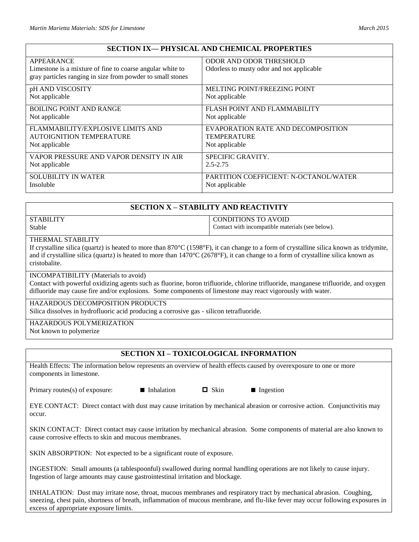# **SECTION IX— PHYSICAL AND CHEMICAL PROPERTIES**

| APPEARANCE                                                 | ODOR AND ODOR THRESHOLD                   |
|------------------------------------------------------------|-------------------------------------------|
| Limestone is a mixture of fine to coarse angular white to  | Odorless to musty odor and not applicable |
| gray particles ranging in size from powder to small stones |                                           |
| pH AND VISCOSITY                                           | <b>MELTING POINT/FREEZING POINT</b>       |
| Not applicable                                             | Not applicable                            |
| <b>BOILING POINT AND RANGE</b>                             | FLASH POINT AND FLAMMABILITY              |
| Not applicable                                             | Not applicable                            |
| FLAMMABILITY/EXPLOSIVE LIMITS AND                          | EVAPORATION RATE AND DECOMPOSITION        |
| AUTOIGNITION TEMPERATURE                                   | <b>TEMPERATURE</b>                        |
| Not applicable                                             | Not applicable                            |
| VAPOR PRESSURE AND VAPOR DENSITY IN AIR                    | SPECIFIC GRAVITY.                         |
| Not applicable                                             | $2.5 - 2.75$                              |
| <b>SOLUBILITY IN WATER</b>                                 | PARTITION COEFFICIENT: N-OCTANOL/WATER    |
| <b>Insoluble</b>                                           | Not applicable                            |

## **SECTION X – STABILITY AND REACTIVITY**

| <b>STABILITY</b> | CONDITIONS TO AVOID                              |
|------------------|--------------------------------------------------|
| Stable           | Contact with incompatible materials (see below). |

## THERMAL STABILITY

If crystalline silica (quartz) is heated to more than 870°C (1598°F), it can change to a form of crystalline silica known as tridymite, and if crystalline silica (quartz) is heated to more than  $1470^{\circ}C(2678^{\circ}F)$ , it can change to a form of crystalline silica known as cristobalite.

### INCOMPATIBILITY (Materials to avoid)

Contact with powerful oxidizing agents such as fluorine, boron trifluoride, chlorine trifluoride, manganese trifluoride, and oxygen difluoride may cause fire and/or explosions. Some components of limestone may react vigorously with water.

### HAZARDOUS DECOMPOSITION PRODUCTS

Silica dissolves in hydrofluoric acid producing a corrosive gas - silicon tetrafluoride.

#### HAZARDOUS POLYMERIZATION

Not known to polymerize

## **SECTION XI – TOXICOLOGICAL INFORMATION**

Health Effects: The information below represents an overview of health effects caused by overexposure to one or more components in limestone.

Primary routes(s) of exposure:  $\blacksquare$  Inhalation  $\blacksquare$  Skin  $\blacksquare$  Ingestion

EYE CONTACT: Direct contact with dust may cause irritation by mechanical abrasion or corrosive action. Conjunctivitis may occur.

SKIN CONTACT: Direct contact may cause irritation by mechanical abrasion. Some components of material are also known to cause corrosive effects to skin and mucous membranes.

SKIN ABSORPTION: Not expected to be a significant route of exposure.

INGESTION: Small amounts (a tablespoonful) swallowed during normal handling operations are not likely to cause injury. Ingestion of large amounts may cause gastrointestinal irritation and blockage.

INHALATION: Dust may irritate nose, throat, mucous membranes and respiratory tract by mechanical abrasion. Coughing, sneezing, chest pain, shortness of breath, inflammation of mucous membrane, and flu-like fever may occur following exposures in excess of appropriate exposure limits.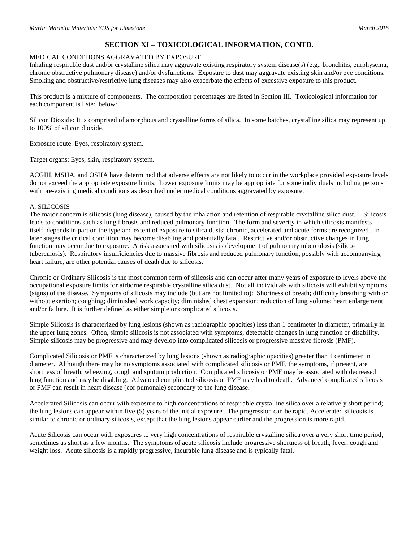### MEDICAL CONDITIONS AGGRAVATED BY EXPOSURE

Inhaling respirable dust and/or crystalline silica may aggravate existing respiratory system disease(s) (e.g., bronchitis, emphysema, chronic obstructive pulmonary disease) and/or dysfunctions. Exposure to dust may aggravate existing skin and/or eye conditions. Smoking and obstructive/restrictive lung diseases may also exacerbate the effects of excessive exposure to this product.

This product is a mixture of components. The composition percentages are listed in Section III. Toxicological information for each component is listed below:

Silicon Dioxide: It is comprised of amorphous and crystalline forms of silica. In some batches, crystalline silica may represent up to 100% of silicon dioxide.

Exposure route: Eyes, respiratory system.

Target organs: Eyes, skin, respiratory system.

ACGIH, MSHA, and OSHA have determined that adverse effects are not likely to occur in the workplace provided exposure levels do not exceed the appropriate exposure limits. Lower exposure limits may be appropriate for some individuals including persons with pre-existing medical conditions as described under medical conditions aggravated by exposure.

#### A. SILICOSIS

The major concern is silicosis (lung disease), caused by the inhalation and retention of respirable crystalline silica dust. Silicosis leads to conditions such as lung fibrosis and reduced pulmonary function. The form and severity in which silicosis manifests itself, depends in part on the type and extent of exposure to silica dusts: chronic, accelerated and acute forms are recognized. In later stages the critical condition may become disabling and potentially fatal. Restrictive and/or obstructive changes in lung function may occur due to exposure. A risk associated with silicosis is development of pulmonary tuberculosis (silicotuberculosis). Respiratory insufficiencies due to massive fibrosis and reduced pulmonary function, possibly with accompanying heart failure, are other potential causes of death due to silicosis.

Chronic or Ordinary Silicosis is the most common form of silicosis and can occur after many years of exposure to levels above the occupational exposure limits for airborne respirable crystalline silica dust. Not all individuals with silicosis will exhibit symptoms (signs) of the disease. Symptoms of silicosis may include (but are not limited to): Shortness of breath; difficulty breathing with or without exertion; coughing; diminished work capacity; diminished chest expansion; reduction of lung volume; heart enlargement and/or failure. It is further defined as either simple or complicated silicosis.

Simple Silicosis is characterized by lung lesions (shown as radiographic opacities) less than 1 centimeter in diameter, primarily in the upper lung zones. Often, simple silicosis is not associated with symptoms, detectable changes in lung function or disability. Simple silicosis may be progressive and may develop into complicated silicosis or progressive massive fibrosis (PMF).

Complicated Silicosis or PMF is characterized by lung lesions (shown as radiographic opacities) greater than 1 centimeter in diameter. Although there may be no symptoms associated with complicated silicosis or PMF, the symptoms, if present, are shortness of breath, wheezing, cough and sputum production. Complicated silicosis or PMF may be associated with decreased lung function and may be disabling. Advanced complicated silicosis or PMF may lead to death. Advanced complicated silicosis or PMF can result in heart disease (cor pumonale) secondary to the lung disease.

Accelerated Silicosis can occur with exposure to high concentrations of respirable crystalline silica over a relatively short period; the lung lesions can appear within five (5) years of the initial exposure. The progression can be rapid. Accelerated silicosis is similar to chronic or ordinary silicosis, except that the lung lesions appear earlier and the progression is more rapid.

Acute Silicosis can occur with exposures to very high concentrations of respirable crystalline silica over a very short time period, sometimes as short as a few months. The symptoms of acute silicosis include progressive shortness of breath, fever, cough and weight loss. Acute silicosis is a rapidly progressive, incurable lung disease and is typically fatal.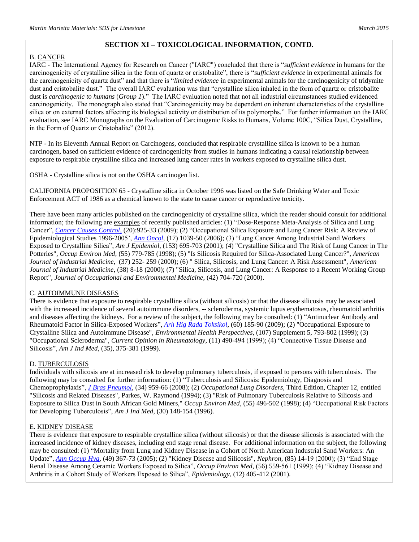### B. CANCER

IARC - The International Agency for Research on Cancer ("IARC") concluded that there is "*sufficient evidence* in humans for the carcinogenicity of crystalline silica in the form of quartz or cristobalite", there is "*sufficient evidence* in experimental animals for the carcinogenicity of quartz dust" and that there is "*limited evidence* in experimental animals for the carcinogenicity of tridymite dust and cristobalite dust." The overall IARC evaluation was that "crystalline silica inhaled in the form of quartz or cristobalite dust is *carcinogenic to humans* (*Group 1*)." The IARC evaluation noted that not all industrial circumstances studied evidenced carcinogenicity. The monograph also stated that "Carcinogenicity may be dependent on inherent characteristics of the crystalline silica or on external factors affecting its biological activity or distribution of its polymorphs." For further information on the IARC evaluation, see IARC Monographs on the Evaluation of Carcinogenic Risks to Humans, Volume 100C, "Silica Dust, Crystalline, in the Form of Quartz or Cristobalite" (2012).

NTP - In its Eleventh Annual Report on Carcinogens, concluded that respirable crystalline silica is known to be a human carcinogen, based on sufficient evidence of carcinogenicity from studies in humans indicating a causal relationship between exposure to respirable crystalline silica and increased lung cancer rates in workers exposed to crystalline silica dust.

OSHA - Crystalline silica is not on the OSHA carcinogen list.

CALIFORNIA PROPOSITION 65 - Crystalline silica in October 1996 was listed on the Safe Drinking Water and Toxic Enforcement ACT of 1986 as a chemical known to the state to cause cancer or reproductive toxicity.

There have been many articles published on the carcinogenicity of crystalline silica, which the reader should consult for additional information; the following are examples of recently published articles: (1) "Dose-Response Meta-Analysis of Silica and Lung Cancer", *[Cancer Causes Control](javascript:AL_get(this,%20)*, (20):925-33 (2009); (2) "Occupational Silica Exposure and Lung Cancer Risk: A Review of Epidemiological Studies 1996-2005', *[Ann Oncol](javascript:AL_get(this,%20)*, (17) 1039-50 (2006); (3) "Lung Cancer Among Industrial Sand Workers Exposed to Crystalline Silica", *Am J Epidemiol*, (153) 695-703 (2001); (4) "Crystalline Silica and The Risk of Lung Cancer in The Potteries", *Occup Environ Med*, (55) 779-785 (1998); (5) "Is Silicosis Required for Silica-Associated Lung Cancer?", *American Journal of Industrial Medicine*, (37) 252- 259 (2000); (6) " Silica, Silicosis, and Lung Cancer: A Risk Assessment", *American Journal of Industrial Medicine*, (38) 8-18 (2000); (7) "Silica, Silicosis, and Lung Cancer: A Response to a Recent Working Group Report", *Journal of Occupational and Environmental Medicine*, (42) 704-720 (2000).

### C. AUTOIMMUNE DISEASES

There is evidence that exposure to respirable crystalline silica (without silicosis) or that the disease silicosis may be associated with the increased incidence of several autoimmune disorders, -- scleroderma, systemic lupus erythematosus, rheumatoid arthritis and diseases affecting the kidneys. For a review of the subject, the following may be consulted: (1) "Antinuclear Antibody and Rheumatoid Factor in Silica-Exposed Workers", *[Arh Hig Rada Toksikol](javascript:AL_get(this,%20)*, (60) 185-90 (2009); (2) "Occupational Exposure to Crystalline Silica and Autoimmune Disease", *Environmental Health Perspectives*, (107) Supplement 5, 793-802 (1999); (3) "Occupational Scleroderma", *Current Opinion in Rheumatology*, (11) 490-494 (1999); (4) "Connective Tissue Disease and Silicosis", *Am J Ind Med*, (35), 375-381 (1999).

### D. TUBERCULOSIS

Individuals with silicosis are at increased risk to develop pulmonary tuberculosis, if exposed to persons with tuberculosis. The following may be consulted for further information: (1) "Tuberculosis and Silicosis: Epidemiology, Diagnosis and Chemoprophylaxis", *[J Bras Pneumol](javascript:AL_get(this,%20)*, (34) 959-66 (2008); (2) *Occupational Lung Disorders*, Third Edition, Chapter 12, entitled "Silicosis and Related Diseases", Parkes, W. Raymond (1994); (3) "Risk of Pulmonary Tuberculosis Relative to Silicosis and Exposure to Silica Dust in South African Gold Miners," *Occup Environ Med*, (55) 496-502 (1998); (4) "Occupational Risk Factors for Developing Tuberculosis", *Am J Ind Med*, (30) 148-154 (1996).

### E. KIDNEY DISEASE

There is evidence that exposure to respirable crystalline silica (without silicosis) or that the disease silicosis is associated with the increased incidence of kidney diseases, including end stage renal disease. For additional information on the subject, the following may be consulted: (1) "Mortality from Lung and Kidney Disease in a Cohort of North American Industrial Sand Workers: An Update", *[Ann Occup Hyg](javascript:AL_get(this,%20)*, (49) 367-73 (2005); (2) "Kidney Disease and Silicosis", *Nephron*, (85) 14-19 (2000); (3) "End Stage Renal Disease Among Ceramic Workers Exposed to Silica", *Occup Environ Med*, (56) 559-561 (1999); (4) "Kidney Disease and Arthritis in a Cohort Study of Workers Exposed to Silica", *Epidemiology*, (12) 405-412 (2001).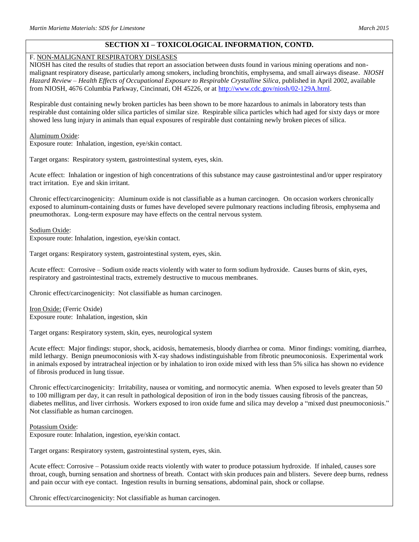### F. NON-MALIGNANT RESPIRATORY DISEASES

NIOSH has cited the results of studies that report an association between dusts found in various mining operations and nonmalignant respiratory disease, particularly among smokers, including bronchitis, emphysema, and small airways disease. *NIOSH Hazard Review – Health Effects of Occupational Exposure to Respirable Crystalline Silica*, published in April 2002, available from NIOSH, 4676 Columbia Parkway, Cincinnati, OH 45226, or at [http://www.cdc.gov/niosh/02-129A.html.](http://www.cdc.gov/niosh/02-129A.html)

Respirable dust containing newly broken particles has been shown to be more hazardous to animals in laboratory tests than respirable dust containing older silica particles of similar size. Respirable silica particles which had aged for sixty days or more showed less lung injury in animals than equal exposures of respirable dust containing newly broken pieces of silica.

#### Aluminum Oxide:

Exposure route: Inhalation, ingestion, eye/skin contact.

Target organs: Respiratory system, gastrointestinal system, eyes, skin.

Acute effect: Inhalation or ingestion of high concentrations of this substance may cause gastrointestinal and/or upper respiratory tract irritation. Eye and skin irritant.

Chronic effect/carcinogenicity: Aluminum oxide is not classifiable as a human carcinogen. On occasion workers chronically exposed to aluminum-containing dusts or fumes have developed severe pulmonary reactions including fibrosis, emphysema and pneumothorax. Long-term exposure may have effects on the central nervous system.

#### Sodium Oxide:

Exposure route: Inhalation, ingestion, eye/skin contact.

Target organs: Respiratory system, gastrointestinal system, eyes, skin.

Acute effect: Corrosive – Sodium oxide reacts violently with water to form sodium hydroxide. Causes burns of skin, eyes, respiratory and gastrointestinal tracts, extremely destructive to mucous membranes.

Chronic effect/carcinogenicity: Not classifiable as human carcinogen.

Iron Oxide: (Ferric Oxide) Exposure route: Inhalation, ingestion, skin

Target organs: Respiratory system, skin, eyes, neurological system

Acute effect: Major findings: stupor, shock, acidosis, hematemesis, bloody diarrhea or coma. Minor findings: vomiting, diarrhea, mild lethargy. Benign pneumoconiosis with X-ray shadows indistinguishable from fibrotic pneumoconiosis. Experimental work in animals exposed by intratracheal injection or by inhalation to iron oxide mixed with less than 5% silica has shown no evidence of fibrosis produced in lung tissue.

Chronic effect/carcinogenicity: Irritability, nausea or vomiting, and normocytic anemia. When exposed to levels greater than 50 to 100 milligram per day, it can result in pathological deposition of iron in the body tissues causing fibrosis of the pancreas, diabetes mellitus, and liver cirrhosis. Workers exposed to iron oxide fume and silica may develop a "mixed dust pneumoconiosis." Not classifiable as human carcinogen.

### Potassium Oxide:

Exposure route: Inhalation, ingestion, eye/skin contact.

Target organs: Respiratory system, gastrointestinal system, eyes, skin.

Acute effect: Corrosive – Potassium oxide reacts violently with water to produce potassium hydroxide. If inhaled, causes sore throat, cough, burning sensation and shortness of breath. Contact with skin produces pain and blisters. Severe deep burns, redness and pain occur with eye contact. Ingestion results in burning sensations, abdominal pain, shock or collapse.

Chronic effect/carcinogenicity: Not classifiable as human carcinogen.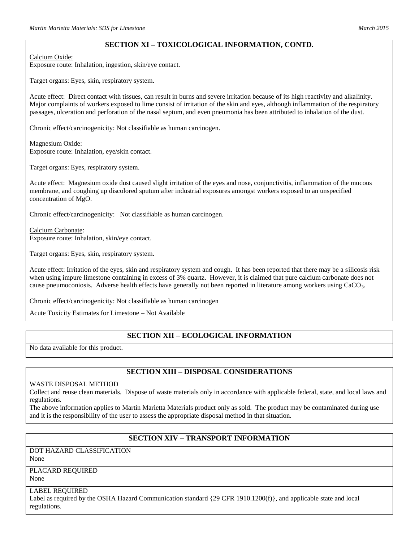### Calcium Oxide:

Exposure route: Inhalation, ingestion, skin/eye contact.

Target organs: Eyes, skin, respiratory system.

Acute effect: Direct contact with tissues, can result in burns and severe irritation because of its high reactivity and alkalinity. Major complaints of workers exposed to lime consist of irritation of the skin and eyes, although inflammation of the respiratory passages, ulceration and perforation of the nasal septum, and even pneumonia has been attributed to inhalation of the dust.

Chronic effect/carcinogenicity: Not classifiable as human carcinogen.

Magnesium Oxide: Exposure route: Inhalation, eye/skin contact.

Target organs: Eyes, respiratory system.

Acute effect: Magnesium oxide dust caused slight irritation of the eyes and nose, conjunctivitis, inflammation of the mucous membrane, and coughing up discolored sputum after industrial exposures amongst workers exposed to an unspecified concentration of MgO.

Chronic effect/carcinogenicity: Not classifiable as human carcinogen.

Calcium Carbonate: Exposure route: Inhalation, skin/eye contact.

Target organs: Eyes, skin, respiratory system.

Acute effect: Irritation of the eyes, skin and respiratory system and cough. It has been reported that there may be a silicosis risk when using impure limestone containing in excess of 3% quartz. However, it is claimed that pure calcium carbonate does not cause pneumoconiosis. Adverse health effects have generally not been reported in literature among workers using  $CaCO<sub>3</sub>$ .

Chronic effect/carcinogenicity: Not classifiable as human carcinogen

Acute Toxicity Estimates for Limestone – Not Available

## **SECTION XII – ECOLOGICAL INFORMATION**

No data available for this product.

## **SECTION XIII – DISPOSAL CONSIDERATIONS**

### WASTE DISPOSAL METHOD

Collect and reuse clean materials. Dispose of waste materials only in accordance with applicable federal, state, and local laws and regulations.

The above information applies to Martin Marietta Materials product only as sold. The product may be contaminated during use and it is the responsibility of the user to assess the appropriate disposal method in that situation.

## **SECTION XIV – TRANSPORT INFORMATION**

DOT HAZARD CLASSIFICATION None

# PLACARD REQUIRED

None

### LABEL REQUIRED

Label as required by the OSHA Hazard Communication standard {29 CFR 1910.1200(f)}, and applicable state and local regulations.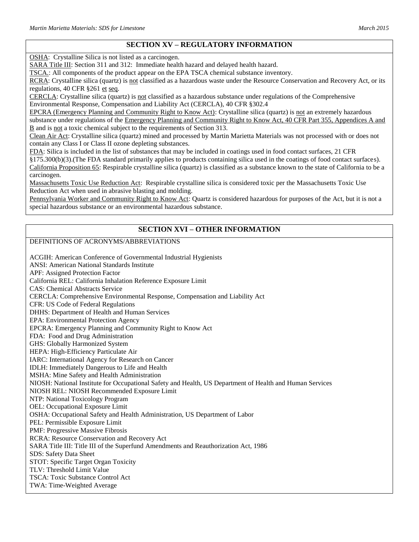# **SECTION XV – REGULATORY INFORMATION**

OSHA: Crystalline Silica is not listed as a carcinogen.

SARA Title III: Section 311 and 312: Immediate health hazard and delayed health hazard.

TSCA.: All components of the product appear on the EPA TSCA chemical substance inventory.

RCRA: Crystalline silica (quartz) is not classified as a hazardous waste under the Resource Conservation and Recovery Act, or its regulations, 40 CFR §261 et seq.

CERCLA: Crystalline silica (quartz) is not classified as a hazardous substance under regulations of the Comprehensive Environmental Response, Compensation and Liability Act (CERCLA), 40 CFR §302.4

EPCRA (Emergency Planning and Community Right to Know Act): Crystalline silica (quartz) is not an extremely hazardous substance under regulations of the Emergency Planning and Community Right to Know Act, 40 CFR Part 355, Appendices A and B and is not a toxic chemical subject to the requirements of Section 313.

Clean Air Act: Crystalline silica (quartz) mined and processed by Martin Marietta Materials was not processed with or does not contain any Class I or Class II ozone depleting substances.

FDA: Silica is included in the list of substances that may be included in coatings used in food contact surfaces, 21 CFR §175.300(b)(3).(The FDA standard primarily applies to products containing silica used in the coatings of food contact surfaces). California Proposition 65: Respirable crystalline silica (quartz) is classified as a substance known to the state of California to be a carcinogen.

Massachusetts Toxic Use Reduction Act: Respirable crystalline silica is considered toxic per the Massachusetts Toxic Use Reduction Act when used in abrasive blasting and molding.

Pennsylvania Worker and Community Right to Know Act: Quartz is considered hazardous for purposes of the Act, but it is not a special hazardous substance or an environmental hazardous substance.

# **SECTION XVI – OTHER INFORMATION**

## DEFINITIONS OF ACRONYMS/ABBREVIATIONS

ACGIH: American Conference of Governmental Industrial Hygienists ANSI: American National Standards Institute APF: Assigned Protection Factor California REL: California Inhalation Reference Exposure Limit CAS: Chemical Abstracts Service CERCLA: Comprehensive Environmental Response, Compensation and Liability Act CFR: US Code of Federal Regulations DHHS: Department of Health and Human Services EPA: Environmental Protection Agency EPCRA: Emergency Planning and Community Right to Know Act FDA: Food and Drug Administration GHS: Globally Harmonized System HEPA: High-Efficiency Particulate Air IARC: International Agency for Research on Cancer IDLH: Immediately Dangerous to Life and Health MSHA: Mine Safety and Health Administration NIOSH: National Institute for Occupational Safety and Health, US Department of Health and Human Services NIOSH REL: NIOSH Recommended Exposure Limit NTP: National Toxicology Program OEL: Occupational Exposure Limit OSHA: Occupational Safety and Health Administration, US Department of Labor PEL: Permissible Exposure Limit PMF: Progressive Massive Fibrosis RCRA: Resource Conservation and Recovery Act SARA Title III: Title III of the Superfund Amendments and Reauthorization Act, 1986 SDS: Safety Data Sheet STOT: Specific Target Organ Toxicity TLV: Threshold Limit Value TSCA: Toxic Substance Control Act TWA: Time-Weighted Average